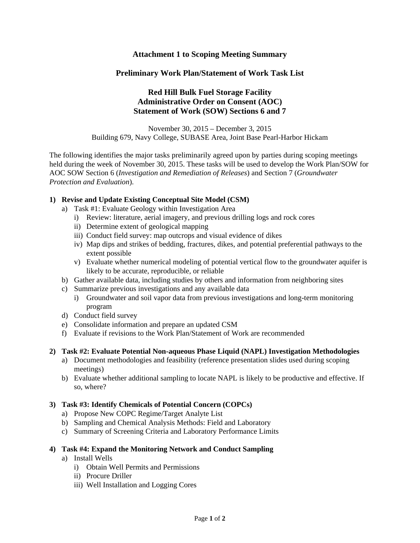## **Attachment 1 to Scoping Meeting Summary**

# **Preliminary Work Plan/Statement of Work Task List**

# **Red Hill Bulk Fuel Storage Facility Administrative Order on Consent (AOC) Statement of Work (SOW) Sections 6 and 7**

November 30, 2015 – December 3, 2015 Building 679, Navy College, SUBASE Area, Joint Base Pearl-Harbor Hickam

 *Protection and Evaluation*). The following identifies the major tasks preliminarily agreed upon by parties during scoping meetings held during the week of November 30, 2015. These tasks will be used to develop the Work Plan/SOW for AOC SOW Section 6 (*Investigation and Remediation of Releases*) and Section 7 (*Groundwater* 

### **1) Revise and Update Existing Conceptual Site Model (CSM)**

- a) Task #1: Evaluate Geology within Investigation Area
	- i) Review: literature, aerial imagery, and previous drilling logs and rock cores
	- ii) Determine extent of geological mapping
	- iii) Conduct field survey: map outcrops and visual evidence of dikes
	- iv) Map dips and strikes of bedding, fractures, dikes, and potential preferential pathways to the extent possible
	- v) Evaluate whether numerical modeling of potential vertical flow to the groundwater aquifer is likely to be accurate, reproducible, or reliable
- b) Gather available data, including studies by others and information from neighboring sites
- c) Summarize previous investigations and any available data
	- i) Groundwater and soil vapor data from previous investigations and long-term monitoring program
- d) Conduct field survey
- e) Consolidate information and prepare an updated CSM
- f) Evaluate if revisions to the Work Plan/Statement of Work are recommended

#### **2) Task #2: Evaluate Potential Non-aqueous Phase Liquid (NAPL) Investigation Methodologies**

- a) Document methodologies and feasibility (reference presentation slides used during scoping meetings)
- b) Evaluate whether additional sampling to locate NAPL is likely to be productive and effective. If so, where?

#### **3) Task #3: Identify Chemicals of Potential Concern (COPCs)**

- a) Propose New COPC Regime/Target Analyte List
- b) Sampling and Chemical Analysis Methods: Field and Laboratory
- c) Summary of Screening Criteria and Laboratory Performance Limits

#### **4) Task #4: Expand the Monitoring Network and Conduct Sampling**

- a) Install Wells
	- i) Obtain Well Permits and Permissions
	- ii) Procure Driller
	- iii) Well Installation and Logging Cores